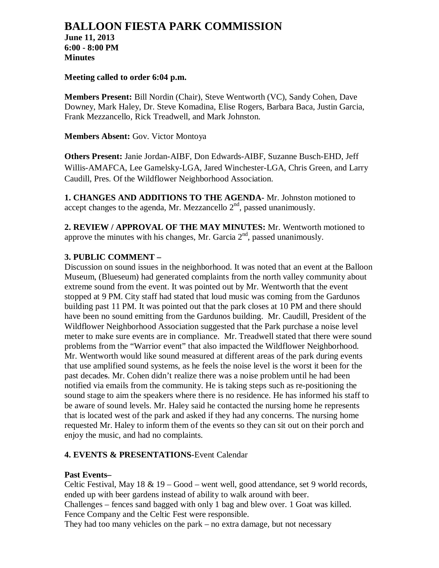# **BALLOON FIESTA PARK COMMISSION**

**June 11, 2013 6:00 - 8:00 PM Minutes**

## **Meeting called to order 6:04 p.m.**

**Members Present:** Bill Nordin (Chair), Steve Wentworth (VC), Sandy Cohen, Dave Downey, Mark Haley, Dr. Steve Komadina, Elise Rogers, Barbara Baca, Justin Garcia, Frank Mezzancello, Rick Treadwell, and Mark Johnston.

## **Members Absent:** Gov. Victor Montoya

**Others Present:** Janie Jordan-AIBF, Don Edwards-AIBF, Suzanne Busch-EHD, Jeff Willis-AMAFCA, Lee Gamelsky-LGA, Jared Winchester-LGA, Chris Green, and Larry Caudill, Pres. Of the Wildflower Neighborhood Association.

**1. CHANGES AND ADDITIONS TO THE AGENDA-** Mr. Johnston motioned to accept changes to the agenda, Mr. Mezzancello  $2<sup>nd</sup>$ , passed unanimously.

**2. REVIEW / APPROVAL OF THE MAY MINUTES:** Mr. Wentworth motioned to approve the minutes with his changes, Mr. Garcia  $2<sup>nd</sup>$ , passed unanimously.

# **3. PUBLIC COMMENT –**

Discussion on sound issues in the neighborhood. It was noted that an event at the Balloon Museum, (Blueseum) had generated complaints from the north valley community about extreme sound from the event. It was pointed out by Mr. Wentworth that the event stopped at 9 PM. City staff had stated that loud music was coming from the Gardunos building past 11 PM. It was pointed out that the park closes at 10 PM and there should have been no sound emitting from the Gardunos building. Mr. Caudill, President of the Wildflower Neighborhood Association suggested that the Park purchase a noise level meter to make sure events are in compliance. Mr. Treadwell stated that there were sound problems from the "Warrior event" that also impacted the Wildflower Neighborhood. Mr. Wentworth would like sound measured at different areas of the park during events that use amplified sound systems, as he feels the noise level is the worst it been for the past decades. Mr. Cohen didn't realize there was a noise problem until he had been notified via emails from the community. He is taking steps such as re-positioning the sound stage to aim the speakers where there is no residence. He has informed his staff to be aware of sound levels. Mr. Haley said he contacted the nursing home he represents that is located west of the park and asked if they had any concerns. The nursing home requested Mr. Haley to inform them of the events so they can sit out on their porch and enjoy the music, and had no complaints.

# **4. EVENTS & PRESENTATIONS-**Event Calendar

# **Past Events–**

Celtic Festival, May  $18 \& 19 - Good - went well$ , good attendance, set 9 world records, ended up with beer gardens instead of ability to walk around with beer. Challenges – fences sand bagged with only 1 bag and blew over. 1 Goat was killed. Fence Company and the Celtic Fest were responsible.

They had too many vehicles on the park – no extra damage, but not necessary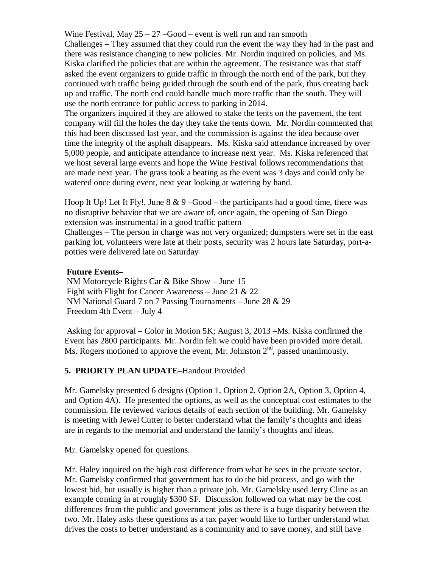Wine Festival, May  $25 - 27 - Good - event$  is well run and ran smooth Challenges – They assumed that they could run the event the way they had in the past and there was resistance changing to new policies. Mr. Nordin inquired on policies, and Ms. Kiska clarified the policies that are within the agreement. The resistance was that staff asked the event organizers to guide traffic in through the north end of the park, but they continued with traffic being guided through the south end of the park, thus creating back up and traffic. The north end could handle much more traffic than the south. They will use the north entrance for public access to parking in 2014.

The organizers inquired if they are allowed to stake the tents on the pavement, the tent company will fill the holes the day they take the tents down. Mr. Nordin commented that this had been discussed last year, and the commission is against the idea because over time the integrity of the asphalt disappears. Ms. Kiska said attendance increased by over 5,000 people, and anticipate attendance to increase next year. Ms. Kiska referenced that we host several large events and hope the Wine Festival follows recommendations that are made next year. The grass took a beating as the event was 3 days and could only be watered once during event, next year looking at watering by hand.

Hoop It Up! Let It Fly!, June  $8 \& 9 - Good -$  the participants had a good time, there was no disruptive behavior that we are aware of, once again, the opening of San Diego extension was instrumental in a good traffic pattern

Challenges – The person in charge was not very organized; dumpsters were set in the east parking lot, volunteers were late at their posts, security was 2 hours late Saturday, port-apotties were delivered late on Saturday

#### **Future Events–**

NM Motorcycle Rights Car & Bike Show – June 15 Fight with Flight for Cancer Awareness – June 21 & 22 NM National Guard 7 on 7 Passing Tournaments – June 28 & 29 Freedom 4th Event – July 4

Asking for approval – Color in Motion 5K; August 3, 2013 –Ms. Kiska confirmed the Event has 2800 participants. Mr. Nordin felt we could have been provided more detail. Ms. Rogers motioned to approve the event, Mr. Johnston  $2<sup>nd</sup>$ , passed unanimously.

# **5. PRIORTY PLAN UPDATE–**Handout Provided

Mr. Gamelsky presented 6 designs (Option 1, Option 2, Option 2A, Option 3, Option 4, and Option 4A). He presented the options, as well as the conceptual cost estimates to the commission. He reviewed various details of each section of the building. Mr. Gamelsky is meeting with Jewel Cutter to better understand what the family's thoughts and ideas are in regards to the memorial and understand the family's thoughts and ideas.

Mr. Gamelsky opened for questions.

Mr. Haley inquired on the high cost difference from what he sees in the private sector. Mr. Gamelsky confirmed that government has to do the bid process, and go with the lowest bid, but usually is higher than a private job. Mr. Gamelsky used Jerry Cline as an example coming in at roughly \$300 SF. Discussion followed on what may be the cost differences from the public and government jobs as there is a huge disparity between the two. Mr. Haley asks these questions as a tax payer would like to further understand what drives the costs to better understand as a community and to save money, and still have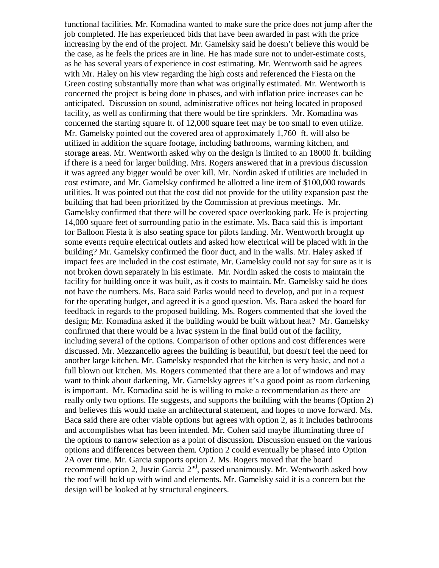functional facilities. Mr. Komadina wanted to make sure the price does not jump after the job completed. He has experienced bids that have been awarded in past with the price increasing by the end of the project. Mr. Gamelsky said he doesn't believe this would be the case, as he feels the prices are in line. He has made sure not to under-estimate costs, as he has several years of experience in cost estimating. Mr. Wentworth said he agrees with Mr. Haley on his view regarding the high costs and referenced the Fiesta on the Green costing substantially more than what was originally estimated. Mr. Wentworth is concerned the project is being done in phases, and with inflation price increases can be anticipated. Discussion on sound, administrative offices not being located in proposed facility, as well as confirming that there would be fire sprinklers. Mr. Komadina was concerned the starting square ft. of 12,000 square feet may be too small to even utilize. Mr. Gamelsky pointed out the covered area of approximately 1,760 ft. will also be utilized in addition the square footage, including bathrooms, warming kitchen, and storage areas. Mr. Wentworth asked why on the design is limited to an 18000 ft. building if there is a need for larger building. Mrs. Rogers answered that in a previous discussion it was agreed any bigger would be over kill. Mr. Nordin asked if utilities are included in cost estimate, and Mr. Gamelsky confirmed he allotted a line item of \$100,000 towards utilities. It was pointed out that the cost did not provide for the utility expansion past the building that had been prioritized by the Commission at previous meetings. Mr. Gamelsky confirmed that there will be covered space overlooking park. He is projecting 14,000 square feet of surrounding patio in the estimate. Ms. Baca said this is important for Balloon Fiesta it is also seating space for pilots landing. Mr. Wentworth brought up some events require electrical outlets and asked how electrical will be placed with in the building? Mr. Gamelsky confirmed the floor duct, and in the walls. Mr. Haley asked if impact fees are included in the cost estimate, Mr. Gamelsky could not say for sure as it is not broken down separately in his estimate. Mr. Nordin asked the costs to maintain the facility for building once it was built, as it costs to maintain. Mr. Gamelsky said he does not have the numbers. Ms. Baca said Parks would need to develop, and put in a request for the operating budget, and agreed it is a good question. Ms. Baca asked the board for feedback in regards to the proposed building. Ms. Rogers commented that she loved the design; Mr. Komadina asked if the building would be built without heat? Mr. Gamelsky confirmed that there would be a hvac system in the final build out of the facility, including several of the options. Comparison of other options and cost differences were discussed. Mr. Mezzancello agrees the building is beautiful, but doesn't feel the need for another large kitchen. Mr. Gamelsky responded that the kitchen is very basic, and not a full blown out kitchen. Ms. Rogers commented that there are a lot of windows and may want to think about darkening, Mr. Gamelsky agrees it's a good point as room darkening is important. Mr. Komadina said he is willing to make a recommendation as there are really only two options. He suggests, and supports the building with the beams (Option 2) and believes this would make an architectural statement, and hopes to move forward. Ms. Baca said there are other viable options but agrees with option 2, as it includes bathrooms and accomplishes what has been intended. Mr. Cohen said maybe illuminating three of the options to narrow selection as a point of discussion. Discussion ensued on the various options and differences between them. Option 2 could eventually be phased into Option 2A over time. Mr. Garcia supports option 2. Ms. Rogers moved that the board recommend option 2, Justin Garcia  $2<sup>nd</sup>$ , passed unanimously. Mr. Wentworth asked how the roof will hold up with wind and elements. Mr. Gamelsky said it is a concern but the design will be looked at by structural engineers.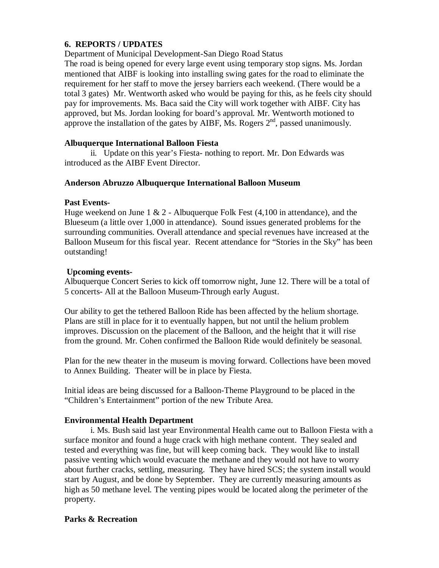# **6. REPORTS / UPDATES**

Department of Municipal Development-San Diego Road Status

The road is being opened for every large event using temporary stop signs. Ms. Jordan mentioned that AIBF is looking into installing swing gates for the road to eliminate the requirement for her staff to move the jersey barriers each weekend. (There would be a total 3 gates) Mr. Wentworth asked who would be paying for this, as he feels city should pay for improvements. Ms. Baca said the City will work together with AIBF. City has approved, but Ms. Jordan looking for board's approval. Mr. Wentworth motioned to approve the installation of the gates by AIBF, Ms. Rogers  $2<sup>nd</sup>$ , passed unanimously.

## **Albuquerque International Balloon Fiesta**

 ii. Update on this year's Fiesta- nothing to report. Mr. Don Edwards was introduced as the AIBF Event Director.

## **Anderson Abruzzo Albuquerque International Balloon Museum**

## **Past Events-**

Huge weekend on June 1  $\&$  2 - Albuquerque Folk Fest (4,100 in attendance), and the Blueseum (a little over 1,000 in attendance). Sound issues generated problems for the surrounding communities. Overall attendance and special revenues have increased at the Balloon Museum for this fiscal year. Recent attendance for "Stories in the Sky" has been outstanding!

# **Upcoming events-**

Albuquerque Concert Series to kick off tomorrow night, June 12. There will be a total of 5 concerts- All at the Balloon Museum-Through early August.

Our ability to get the tethered Balloon Ride has been affected by the helium shortage. Plans are still in place for it to eventually happen, but not until the helium problem improves. Discussion on the placement of the Balloon, and the height that it will rise from the ground. Mr. Cohen confirmed the Balloon Ride would definitely be seasonal.

Plan for the new theater in the museum is moving forward. Collections have been moved to Annex Building. Theater will be in place by Fiesta.

Initial ideas are being discussed for a Balloon-Theme Playground to be placed in the "Children's Entertainment" portion of the new Tribute Area.

# **Environmental Health Department**

 i. Ms. Bush said last year Environmental Health came out to Balloon Fiesta with a surface monitor and found a huge crack with high methane content. They sealed and tested and everything was fine, but will keep coming back. They would like to install passive venting which would evacuate the methane and they would not have to worry about further cracks, settling, measuring. They have hired SCS; the system install would start by August, and be done by September. They are currently measuring amounts as high as 50 methane level. The venting pipes would be located along the perimeter of the property.

# **Parks & Recreation**